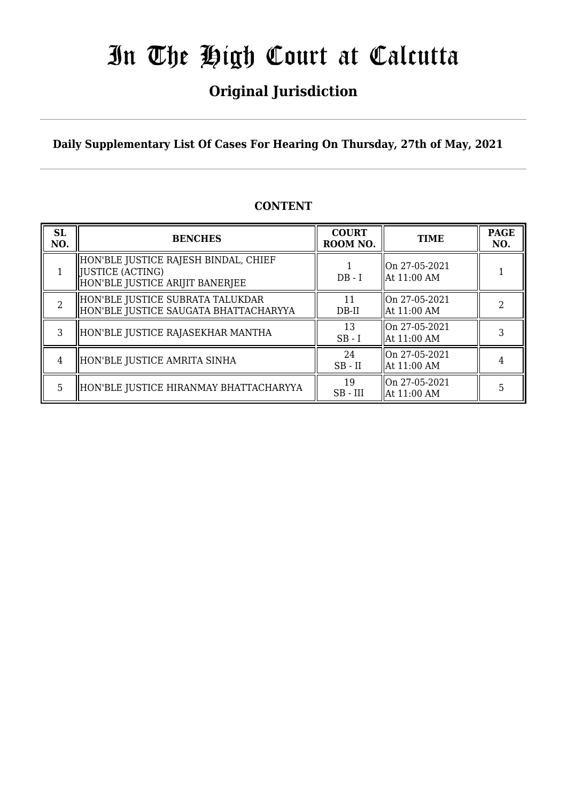## **Original Jurisdiction**

**Daily Supplementary List Of Cases For Hearing On Thursday, 27th of May, 2021**

### **CONTENT**

| <b>SL</b><br>NO. | <b>BENCHES</b>                                                                                | <b>COURT</b><br>ROOM NO. | <b>TIME</b>                   | <b>PAGE</b><br>NO. |
|------------------|-----------------------------------------------------------------------------------------------|--------------------------|-------------------------------|--------------------|
|                  | HON'BLE JUSTICE RAJESH BINDAL, CHIEF<br>  JUSTICE (ACTING)<br>HON'BLE JUSTICE ARIJIT BANERJEE | $DB - I$                 | On 27-05-2021<br>At 11:00 AM  |                    |
| $\overline{2}$   | HON'BLE JUSTICE SUBRATA TALUKDAR<br>HON'BLE JUSTICE SAUGATA BHATTACHARYYA                     | 11<br>$DB-II$            | On 27-05-2021<br> At 11:00 AM |                    |
| 3                | HON'BLE JUSTICE RAJASEKHAR MANTHA                                                             | 13<br>$SB-I$             | On 27-05-2021<br>At 11:00 AM  |                    |
| 4                | HON'BLE JUSTICE AMRITA SINHA                                                                  | 24<br>$SB$ - $II$        | On 27-05-2021<br>At 11:00 AM  |                    |
| 5                | HON'BLE JUSTICE HIRANMAY BHATTACHARYYA                                                        | 19<br>$SB$ - $III$       | On 27-05-2021<br>At 11:00 AM  | 5                  |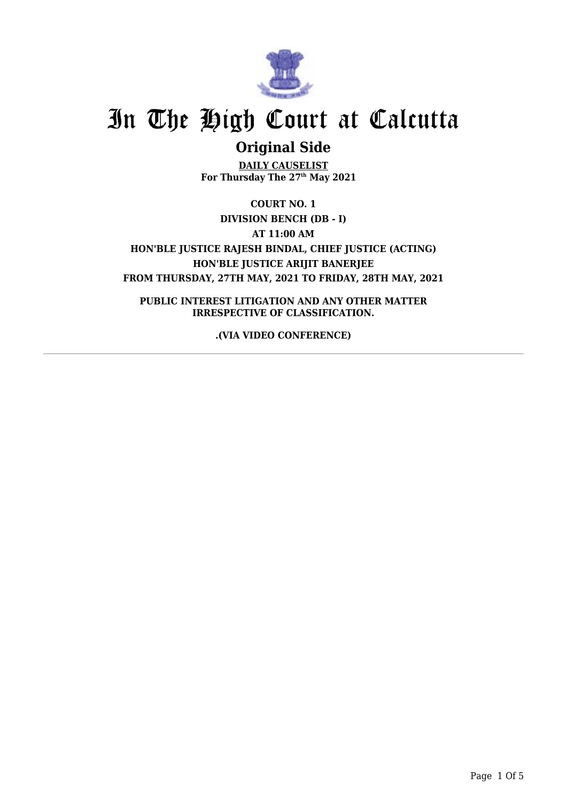

### **Original Side**

**DAILY CAUSELIST For Thursday The 27 th May 2021**

**COURT NO. 1 DIVISION BENCH (DB - I) AT 11:00 AM HON'BLE JUSTICE RAJESH BINDAL, CHIEF JUSTICE (ACTING) HON'BLE JUSTICE ARIJIT BANERJEE FROM THURSDAY, 27TH MAY, 2021 TO FRIDAY, 28TH MAY, 2021**

**PUBLIC INTEREST LITIGATION AND ANY OTHER MATTER IRRESPECTIVE OF CLASSIFICATION.**

**.(VIA VIDEO CONFERENCE)**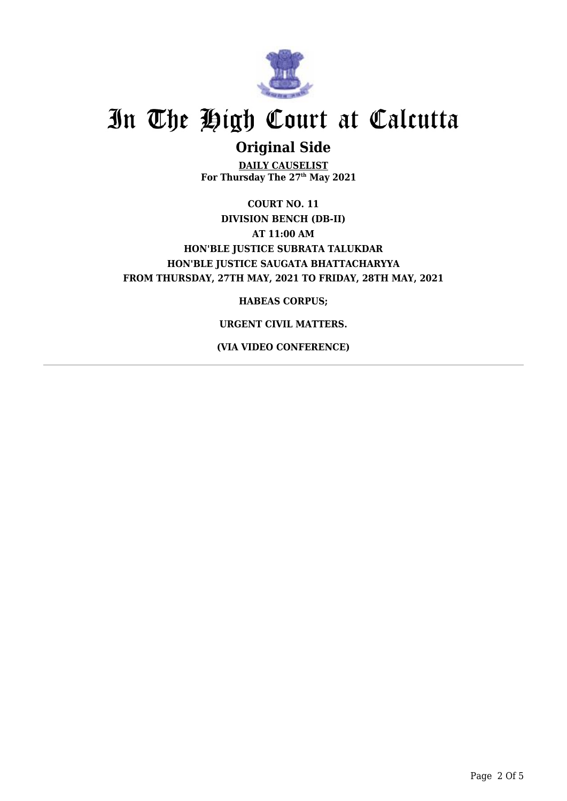

### **Original Side**

**DAILY CAUSELIST For Thursday The 27 th May 2021**

**COURT NO. 11 DIVISION BENCH (DB-II) AT 11:00 AM HON'BLE JUSTICE SUBRATA TALUKDAR HON'BLE JUSTICE SAUGATA BHATTACHARYYA FROM THURSDAY, 27TH MAY, 2021 TO FRIDAY, 28TH MAY, 2021**

**HABEAS CORPUS;**

#### **URGENT CIVIL MATTERS.**

**(VIA VIDEO CONFERENCE)**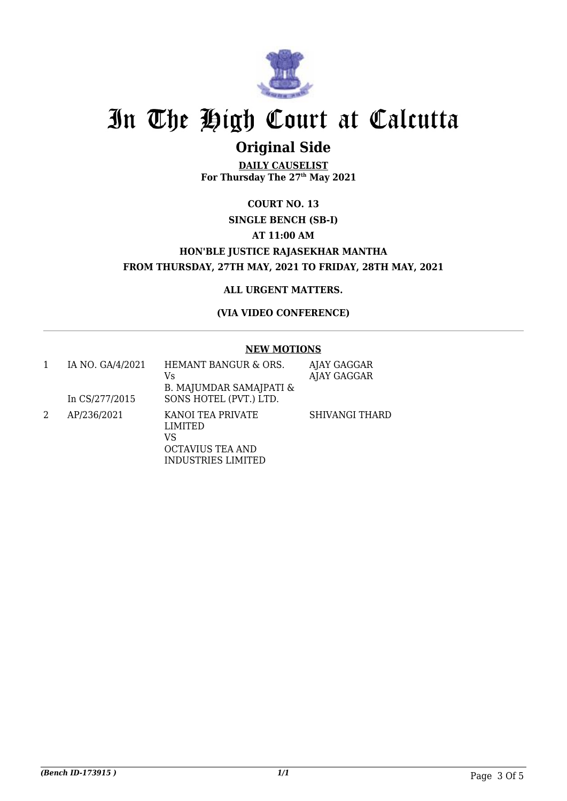

## **Original Side**

**DAILY CAUSELIST For Thursday The 27 th May 2021**

### **COURT NO. 13 SINGLE BENCH (SB-I) AT 11:00 AM HON'BLE JUSTICE RAJASEKHAR MANTHA FROM THURSDAY, 27TH MAY, 2021 TO FRIDAY, 28TH MAY, 2021**

#### **ALL URGENT MATTERS.**

#### **(VIA VIDEO CONFERENCE)**

#### **NEW MOTIONS**

|   | IA NO. GA/4/2021<br>In CS/277/2015 | HEMANT BANGUR & ORS.<br>Vs<br>B. MAJUMDAR SAMAJPATI &<br>SONS HOTEL (PVT.) LTD.                          | AJAY GAGGAR<br>AJAY GAGGAR |
|---|------------------------------------|----------------------------------------------------------------------------------------------------------|----------------------------|
| 2 | AP/236/2021                        | <b>KANOI TEA PRIVATE</b><br><b>LIMITED</b><br>VS<br><b>OCTAVIUS TEA AND</b><br><b>INDUSTRIES LIMITED</b> | <b>SHIVANGI THARD</b>      |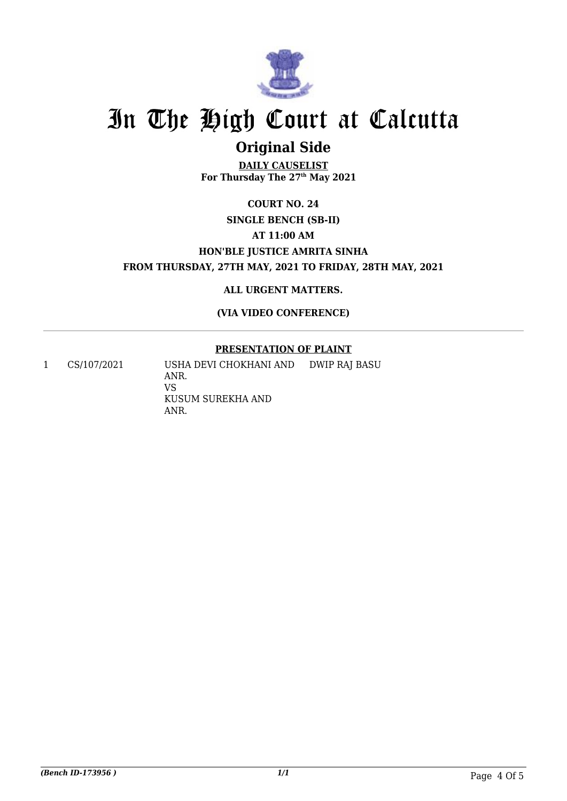

## **Original Side**

**DAILY CAUSELIST For Thursday The 27 th May 2021**

### **COURT NO. 24 SINGLE BENCH (SB-II) AT 11:00 AM HON'BLE JUSTICE AMRITA SINHA FROM THURSDAY, 27TH MAY, 2021 TO FRIDAY, 28TH MAY, 2021**

**ALL URGENT MATTERS.**

**(VIA VIDEO CONFERENCE)**

#### **PRESENTATION OF PLAINT**

1 CS/107/2021 USHA DEVI CHOKHANI AND ANR. VS KUSUM SUREKHA AND ANR. DWIP RAJ BASU